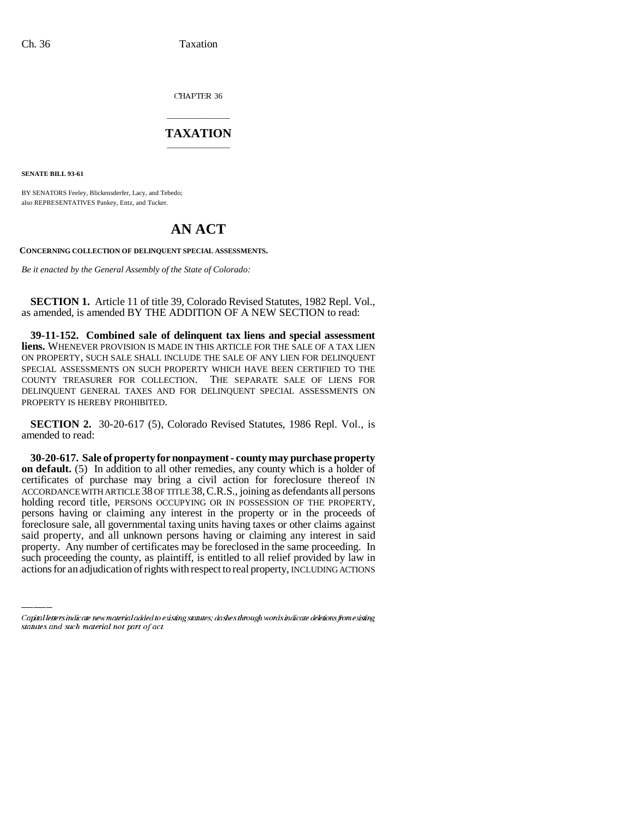CHAPTER 36

## \_\_\_\_\_\_\_\_\_\_\_\_\_\_\_ **TAXATION** \_\_\_\_\_\_\_\_\_\_\_\_\_\_\_

**SENATE BILL 93-61**

BY SENATORS Feeley, Blickensderfer, Lacy, and Tebedo; also REPRESENTATIVES Pankey, Entz, and Tucker.

## **AN ACT**

**CONCERNING COLLECTION OF DELINQUENT SPECIAL ASSESSMENTS.**

*Be it enacted by the General Assembly of the State of Colorado:*

**SECTION 1.** Article 11 of title 39, Colorado Revised Statutes, 1982 Repl. Vol., as amended, is amended BY THE ADDITION OF A NEW SECTION to read:

**39-11-152. Combined sale of delinquent tax liens and special assessment liens.** WHENEVER PROVISION IS MADE IN THIS ARTICLE FOR THE SALE OF A TAX LIEN ON PROPERTY, SUCH SALE SHALL INCLUDE THE SALE OF ANY LIEN FOR DELINQUENT SPECIAL ASSESSMENTS ON SUCH PROPERTY WHICH HAVE BEEN CERTIFIED TO THE COUNTY TREASURER FOR COLLECTION. THE SEPARATE SALE OF LIENS FOR DELINQUENT GENERAL TAXES AND FOR DELINQUENT SPECIAL ASSESSMENTS ON PROPERTY IS HEREBY PROHIBITED.

**SECTION 2.** 30-20-617 (5), Colorado Revised Statutes, 1986 Repl. Vol., is amended to read:

said property, and all unknown persons having or claiming any interest in said **30-20-617. Sale of property for nonpayment - county may purchase property on default.** (5) In addition to all other remedies, any county which is a holder of certificates of purchase may bring a civil action for foreclosure thereof IN ACCORDANCE WITH ARTICLE 38 OF TITLE 38,C.R.S., joining as defendants all persons holding record title, PERSONS OCCUPYING OR IN POSSESSION OF THE PROPERTY, persons having or claiming any interest in the property or in the proceeds of foreclosure sale, all governmental taxing units having taxes or other claims against property. Any number of certificates may be foreclosed in the same proceeding. In such proceeding the county, as plaintiff, is entitled to all relief provided by law in actions for an adjudication of rights with respect to real property, INCLUDING ACTIONS

Capital letters indicate new material added to existing statutes; dashes through words indicate deletions from existing statutes and such material not part of act.